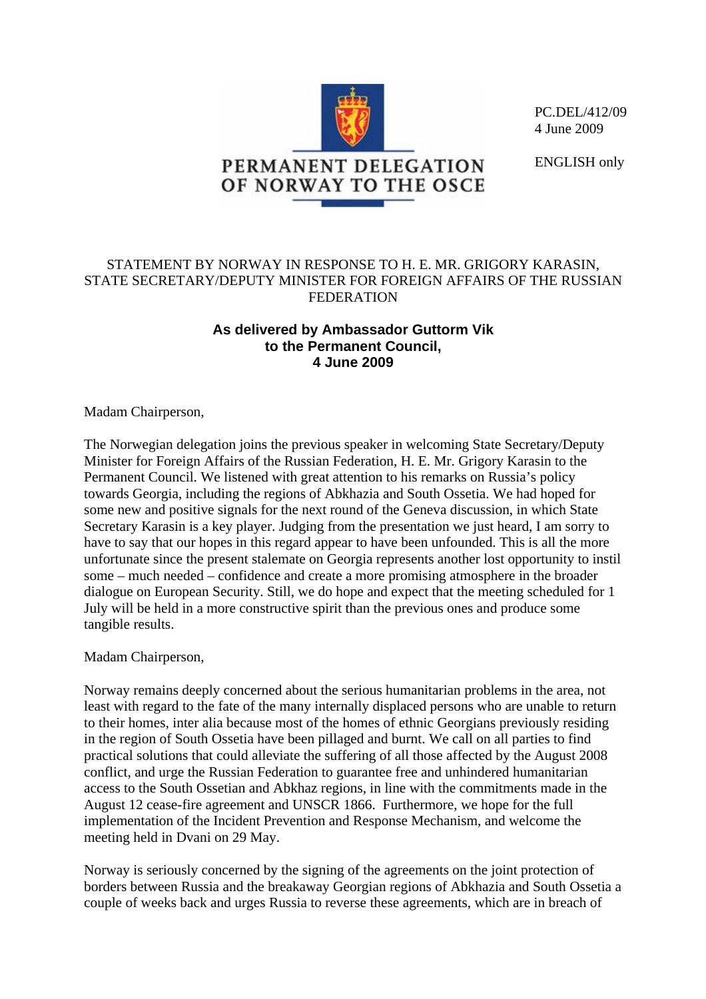

PC.DEL/412/09 4 June 2009

ENGLISH only

## STATEMENT BY NORWAY IN RESPONSE TO H. E. MR. GRIGORY KARASIN, STATE SECRETARY/DEPUTY MINISTER FOR FOREIGN AFFAIRS OF THE RUSSIAN FEDERATION

## **As delivered by Ambassador Guttorm Vik to the Permanent Council, 4 June 2009**

Madam Chairperson,

The Norwegian delegation joins the previous speaker in welcoming State Secretary/Deputy Minister for Foreign Affairs of the Russian Federation, H. E. Mr. Grigory Karasin to the Permanent Council. We listened with great attention to his remarks on Russia's policy towards Georgia, including the regions of Abkhazia and South Ossetia. We had hoped for some new and positive signals for the next round of the Geneva discussion, in which State Secretary Karasin is a key player. Judging from the presentation we just heard, I am sorry to have to say that our hopes in this regard appear to have been unfounded. This is all the more unfortunate since the present stalemate on Georgia represents another lost opportunity to instil some – much needed – confidence and create a more promising atmosphere in the broader dialogue on European Security. Still, we do hope and expect that the meeting scheduled for 1 July will be held in a more constructive spirit than the previous ones and produce some tangible results.

Madam Chairperson,

Norway remains deeply concerned about the serious humanitarian problems in the area, not least with regard to the fate of the many internally displaced persons who are unable to return to their homes, inter alia because most of the homes of ethnic Georgians previously residing in the region of South Ossetia have been pillaged and burnt. We call on all parties to find practical solutions that could alleviate the suffering of all those affected by the August 2008 conflict, and urge the Russian Federation to guarantee free and unhindered humanitarian access to the South Ossetian and Abkhaz regions, in line with the commitments made in the August 12 cease-fire agreement and UNSCR 1866. Furthermore, we hope for the full implementation of the Incident Prevention and Response Mechanism, and welcome the meeting held in Dvani on 29 May.

Norway is seriously concerned by the signing of the agreements on the joint protection of borders between Russia and the breakaway Georgian regions of Abkhazia and South Ossetia a couple of weeks back and urges Russia to reverse these agreements, which are in breach of